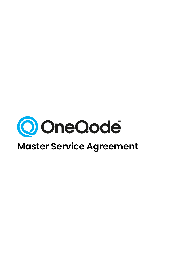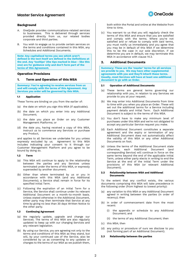

# **Background**

- A. OneQode provides communications-related services to businesses. This is delivered through services provided directly from us, our related bodies corporate and third parties.
- B. You wish to engage us to provide certain services on the terms and conditions contained in this MSA, any Schedules and Additional Documents.

**Note: Any capitalised terms you see which aren't defined in the text itself are defined in the Definitions at the end. Any 'tooltips' (the tips marked in blue - like this one) are for guidance only and don't form part of the terms of this Agreement.**

# **Operative Provisions**

# **1. Term and Operation of this MSA**

**Summary: You're agreeing to receive services from us and will comply with the terms of this Agreement. Any Services you order will be governed by this MSA.**

# **1.1 Application**

These Terms are binding on you from the earlier of:

- (a) the date on which you sign this MSA (if applicable);
- (b) the date on which you enter into any Additional Document;
- (c) the date you place an Order on any Customer Management Platforms; or
- (d) the date you, having received a copy of this MSA, instruct us to commence any Services or purchase any Product,

and applies to all Services we undertake for you unless expressly excluded by us. Agreement to this MSA includes indicating your consent to it through our Customer Management Platform and you agree to be bound by doing so.

#### <span id="page-1-0"></span>**1.2 Term**

- (a) This MSA will continue to apply to the relationship between the parties and any Services unless terminated under the terms of this MSA, or expressly superseded by another document.
- (b) Other than where terminated by us or you in accordance with this MSA (and any Additional Documents), a Service shall remain in force for its specified Initial Term.
- (c) Following the expiration of an Initial Term for a Service, the Service shall continue under its relevant Additional Document on a month-to-month basis. Unless stated otherwise in the Additional Document, either party may then terminate that Service at any time by giving no less than 30 days Written Notice to the other party.

## **1.3 Continuing Agreement**

- (a) We regularly update, upgrade and change our Services. The terms of this MSA are also regularly updated to keep up with our changing Services and any relevant legislation.
- (b) By using our Service, you are agreeing not only to the terms and conditions of this MSA as they stand, but will, by your continued use of the Service, also be considered by us as consenting to any updates or changes to the terms of our MSA as we publish them,

both within the Portal and online at the Website from time to time.

(c) You warrant to us that you will regularly check the terms of this MSA and ensure that you are satisfied and comply with the terms. Where you're not satisfied and or refuse to comply with said terms, you must notify us immediately and you agree that you may be in default of this MSA if we determine this to be the case in our sole discretion. If we determine you are in default, we may terminate this MSA in accordance with clause 14.3.

# **2. Additional Documents**

**Summary: These are the 'master' terms for all services we provide to you. We may have other supplemental agreements with you and they'll inherit these terms. Usually, most Services will have at least one additional document to go with an Order.**

#### **2.1 Operation of Additional Documents**

- (a) These terms are general terms governing our relationship with you, in relation to any Services we provide to you at your request.
- (b) We may enter into Additional Documents from time to time with you when you place an Order. These will set out the additional terms for a Service including payment details and Initial Term. Each Additional Document is subject to the terms of this MSA.
- (c) You don't have to make any minimum level of purchases under this MSA and we're not obligated to accept any particular Service request you make.
- (d) Each Additional Document constitutes a separate agreement and the expiry or termination of any Additional Document does not automatically affect the validity of this MSA or any other Additional Documents on foot.
- (e) Unless the terms of the Additional Document state otherwise, each Additional Document (and corresponding Service) will continue in force on the same terms beyond the end of the applicable Initial Term, unless either party elects in writing to end the Service at the end of the Initial Term under the provisions of this MSA (or relevant Additional Document).

#### **2.2 Relationship between MSA and Additional Documents**

To the extent that any conflict exists, the various documents comprising this MSA will take precedence in the following order (from highest to lowest priority):

- (a) any variation to this MSA or any Additional Document agreed in writing between the parties (in order of recency); then
- (b) in order of commencement date from the most recent:
	- (i) the appendix or schedule to any Additional Document; and
	- (ii) the terms of any Additional Document; then
- (c) this MSA; then
- (d) any policy or procedure of ours we disclose to you (not forming part of an Additional Document).

#### **2.3 Relationship between the parties**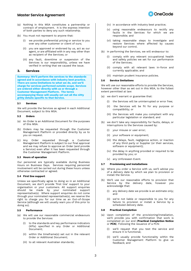- (a) Nothing in this MSA constitutes a partnership or contract of employment. It is the express intention of both parties to deny any such relationship.
- (b) You must not represent to anyone that:
	- (i) we provide preferential pricing or service to you over any other customer or client of ours;
	- (ii) you are approved or endorsed by us, act as our agent, or are affiliated with in any way other than as recipient of the Services; or
	- (iii) any fault, downtime or suspension of the Services is our responsibility, unless we have verified in writing that we caused the issue.

# **3. Services**

**Summary: We'll perform the services to the standards agreed and in accordance with industry best practice. There are some limitations to what we do, and we'll charge for services performed outside scope. Services are ordered either directly with us or through a Customer Management Platform. The terms accompanying these will usually set out all the nitty gritty details specific to that Service.**

#### **3.1 Services**

We will provide the Services as agreed in each Additional Document, subject to this MSA.

#### **3.2 Orders**

- (a) An Order is an Additional Document for the purposes of this MSA.
- (b) Orders may be requested through the Customer Management Platform or provided directly by us to you on request.
- (c) Any Order requested through a Customer Management Platform is subject to our final approval and we may refuse to approve an Order (and provide a Service) even after it has been requested through the Customer Management Platform.

#### **3.3 Hours of operation**

Our personnel are typically available during Business Hours on Business Days. Services requiring personnel involvement will be carried out during these hours unless otherwise contracted or agreed.

#### **3.4 First line support**

Unless we specifically agree to doing so in an Additional Document, we don't provide 'first line' support to your organisation or your customers. All support enquiries should be made by your nominated support representative(s). Where support enquiries do not come through your nominated representative(s), we reserve the right to charge you for our time as an Out-of-Scope Service (although we will usually warn you of this prior to doing so).

#### **3.5 Performance**

- (a) We will use our reasonable commercial endeavours to provide the Services:
	- (i) to the standards and key performance indicators (KPls) specified in any Order or Additional Document;
	- (ii) within the timeframe(s) set out in the relevant Order or Additional Document;
	- (iii) to all relevant Australian standards;



- (iv) in accordance with industry best practice;
- (v) using reasonable endeavours to rectify any faults in the Services for which we are responsible; and
- (vi) taking reasonable steps to investigate and restore Services where affected by causes beyond our control.
- (b) In performing the Services, we will endeavour to:
	- (i) comply with any relevant occupational health and safety policies we set for our performance of the Services;
	- (ii) comply with all relevant laws in-force and currently applicable; and
	- (iii) maintain prudent insurance policies.

#### <span id="page-2-0"></span>**3.6 Service limitations**

We will use our reasonable efforts to provide the Services, however other than as set out in this MSA, to the fullest extent permitted at law:

- (a) we don't warrant or guarantee that:
	- (i) the Services will be uninterrupted or error free;
	- (ii) the Services will be fit for any purpose or compatibility; or
	- (iii) the Services will make you compliant with any particular legislation or standard; and
- (b) we don't take any responsibility for faults, delays, or interruptions to the Services caused by:
	- (i) your misuse or user error;
	- (ii) your software or equipment;
	- (iii) the delays, fault, negligence action, or inaction of any third party or Supplier (or their services, software or equipment);
	- (iv) the delay in anything provided or required to be provided by you; or
	- (v) any Unforeseen Event.

#### **3.7 Provisioning and Installations**

- (a) Where you order a Service with us, we'll advise you of a delivery date by which we plan to provision or install the Service.
- (b) We'll use our reasonable efforts to provision that Service by the delivery date, however you acknowledge that:
	- (i) any delivery date we provide is an estimate only; and
	- (ii) we're not liable or responsible to you for any failure to provision or install a Service by a scheduled delivery date.

#### **3.8 Practical Completion**

- (a) Upon completion of the provisioning/installation, we'll provide you with confirmation that work is completed on our end (**Practical Completion Notice** or **PCN**). Following the issuance of a PCN:
	- (i) we'll request that you test the service and ensure it is functional;
	- (ii) we'll usually provide functionality within the Customer Management Platform to give us feedback; and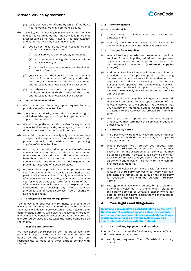

- (iii) we'll give you a timeframe by which, if we don't hear anything, we may commence billing.
- (b) Typically, we will not begin invoicing you for a service unless you've indicated that the Service is functional after issuance of a PCN. However, you acknowledge and agree that we may begin invoicing if:
	- (i) you do not indicate that the Service is functional within 10 Business Days but:
		- (A) your Service is demonstrably functional;
		- (B) you commence using the Services within your business; or
		- (C) you make no effort to test the Service or provide feedback;
	- (ii) your issues with the Service do not relate to any lack of functionality or deficiency under this MSA and/or the relevant Additional Document and at least 10 Business Days have passed; or
	- (iii) we otherwise consider that your Service is wholly compliant with the scope of the Order and at least 10 Business Days have passed.

#### <span id="page-3-1"></span>**3.9 Out-of-Scope Services**

- (a) We may at our discretion, upon request by you, provide Out-of-Scope Services.
- (b) The same standards, warranties, inspection rights and indemnities apply to Out-of-Scope Services as apply to the Services.
- (c) We will charge the Out-of-Scope Fee for any Out-of-Scope Services we provide, and may vary them at any time. Where we vary them, we'll notify you.
- (d) Out-of-Scope Services usually only occur where they are specifically requested outside of the usual Order process. We will confirm with you prior to providing any Out-of-Scope Services.
- (e) We may, at our discretion, provide Out-of-Scope Services to you without an Additional Document. Where we do this (and have confirmed your consent beforehand) we shall be entitled to charge Out-of-Scope Fees for any time and material expended on providing those Out-of-Scope Services.
- (f) We may elect to provide Out-of-Scope Services to you free of charge, but this will be confined to that particular instance and won't apply to any other Outof-Scope Services. For clarity, our failure to charge you (or charge a reduced rate) for any part of Outof-Scope Services will not create an expectation or entitlement to receiving any future Services (including Out-of-Scope Services) free of charge or at a reduced rate.

# **3.10 Changes to Services or Equipment**

Technology and business environments are constantly evolving and we may make adjustments to the Services to ensure we deliver Services which stay relevant and commercially current. We'll give you reasonable notice of any changes we consider are substantial and ensure that any altered services are at least the same standards as the original.

# **3.11 Right to sub-contract**

We may appoint third parties, contractors or agents to provide all or part of the Services; and such entities are bound by the same obligations as us. It's our responsibility to make sure those entities comply with this MSA.

#### **3.12 Identifying data**

We reserve the right to:

- (a) attach labels or index your data within our databases; and
- (b) remotely measure your usage of the Services to ensure billing accuracy and technical efficiency.

#### **3.13 Charges from Suppliers**

- (a) Where Services you order from us require or include services from a Supplier, additional charges may apply which were not contemplated or agreed to in an Additional Document (**Additional Supplier Charges**).
- (b) Additional Supplier Charges will, where possible, be provided to you for approval prior to them being incurred and where a Service is dependent on that approval, we'll delay provisioning of the Service pending your approval. You acknowledge however that some Additional Supplier Charges may be incurred unknowingly or without the opportunity to approve them.
- (c) Where Additional Supplier Charges are incurred, these will be billed to you upon delivery of the relevant service by the Supplier. You warrant that you will pay any Additional Supplier Charges required in relation to the Services we provide from time to time.
- (d) Where you don't approve the Additional Supplier Charges, we may terminate the Services in question under clause [14.3.](#page-14-0)

#### **3.14 Third Party Terms**

- (a) Third party software and services provided or utilised in conjunction with the Services may be subject to Third Party Terms.
- (b) Where possible, we'll provide you directly with relevant Third Party Terms. In other cases, we may pass them on in our agreements. Some terms may be located directly in software. It's a condition of our provision of Services that you agree (and continue to agree) with any relevant Third Party Terms which are provided or alluded to.
- (c) Where you believe you have a basis for a claim in relation to third-party services or software, your sole and exclusive remedy is to pursue that third-party for resolution in line with the relevant Third Party Terms.
- (d) You agree that you won't pursue, bring a Claim or otherwise involve us in a Claim which relates to third-party Services or Software, except where our acts or omissions have indisputably contributed to that Claim under this MSA.

# **4. Your Rights and Obligations**

**Summary: You also have a responsibility to do the right thing by us. This includes giving us clear instructions, protecting your systems, taking responsibility for things which are under your control and making sure that you're interacting safely with Our Network.**

#### <span id="page-3-0"></span>**4.1 Instructions, Equipment and materials**

In order for us to deliver the Services to you in an efficient and timely manner, you must:

(a) supply any requested Client Materials in a timely manner;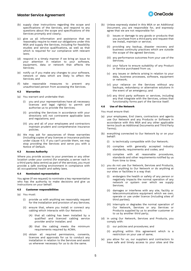

- (b) supply clear instructions regarding the scope and specifications of the Services, and respond to any questions about the scope and specifications of the Services promptly and clearly;
- (c) give us all information and assistance that we reasonably require to meet our obligations under this MSA and supply the Services, including for feasibility studies and service qualifications, as well as that which is required for our compliance with relevant laws;
- (d) respond in a timely manner if we bring an issue to your attention in relation to your software, equipment, data or network that affects the Services;
- (e) notify us if you make any changes to your software, network or data which are likely to affect the Services; and
- (f) take reasonable measures to prevent any unauthorised person from accessing the Services.

#### <span id="page-4-1"></span>**4.2 Warranties**

- (a) You warrant and undertake that:
	- (i) you and your representatives have all necessary licences and legal right(s) to permit and authorise us to provide the Services;
	- (ii) providing the Services in accordance with your directions will not contravene applicable laws and regulations; and
	- (iii) you and all of your employees and contractors maintain prudent and comprehensive insurance policies.
- (b) We may ask for assurances of these warranties (including copies of any licences or insurance policies under clause [4.1\)](#page-3-0). If you can't provide them, we may stop providing the Services and serve you with a Notice of Default.

#### **4.3 Access Authority**

Where you provide access to your premises or any other location under your control (for example, a server rack in a third party data centre) as part of the services, you must provide a safe working environment in compliance with all occupational health and safety laws.

#### **4.4 Nominated representative**

You agree (if we request) to nominate a key representative who has the authority to make decisions and give us instructions on your behalf.

#### <span id="page-4-2"></span>**4.5 Customer responsibilities**

- (a) You must:
	- (i) provide us with anything we reasonably request for the installation and provision of any Services;
	- (ii) ensure that, where you install or connect any cabling which interacts with Our Network:
		- (A) that all cabling has been installed by a qualified and licenced cabling service provider and/or installer; and
		- (B) that the cabling meets the minimum requirements required by ACMA;
	- (iii) obtain all required permissions, consents, licences and approvals for us to conduct any installation in relation to the Services and assist us wherever necessary for us to do the same.
- (b) Unless expressly stated in this MSA or an Additional Document, you are responsible for, and expressly agree that we are not responsible for:
	- issues or damage to any goods or products that you purchase from a third party and request that we install, maintain or service;
	- (ii) providing any backup, disaster recovery and business continuity practices which are outside the scope of the agreed Services;
	- (iii) any performance outcomes from your use of the Services;
	- (iv) your failure to ensure suitability of any Product or Service purchased from us;
	- (v) any issues or defects arising in relation to your data, business processes, software, equipment or network;
	- (vi) your reliance on the Services without any backups, redundancy or alternative solutions in the event of an emergency; and
	- (vii) any third party software or services, including any that integrate with the Services, unless that functionality forms part of the Service itself.

## <span id="page-4-0"></span>**4.6 Use of the Network**

You must ensure that:

- (a) your employees, End Users, contractors and agents use Our Network and any Products or Software in accordance with this MSA and any other applicable terms (such as Additional Documents and Third Party Terms);
- (b) everything connected to Our Network by or on your behalf:
	- (i) is technically compatible with Our Network;
	- (ii) complies with generally accepted industry standards, requirements and codes; and
	- (iii) complies with all reasonable procedures, standards and other requirements notified by us from time to time;
- (c) you do not use Our Network, Services and Products, connect anything to Our Network or do anything at our sites or facilities in a way that:
	- (i) endangers the health or safety of any person or negatively impacts the normal operation of any network or system over which we supply Services;
	- (ii) damages or interferes with any site, facility or telecommunications equipment which we own, operate or use under licence (including sites of third parties);
	- (iii) interrupts or degrades the normal operation of Our Network, Services or any Services or Products supplied by us to another customer or to us by another third party;
- (d) in using Our Network, Services and Products, you comply with:
	- (i) our policies and procedures; and
	- (ii) anything within this agreement which is a restriction on your use of same;
- (e) you allow for us, our suppliers and contractors to have safe and timely access to your sites and the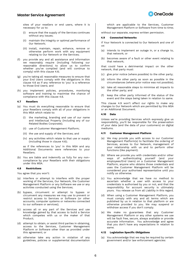

sites of your resellers or end users, where it is necessary for us to:

- (i) ensure that the supply of the Services continues without any issues;
- (ii) maintain the integrity or optimal performance of Our Network;
- (iii) install, maintain, repair, enhance, remove or otherwise perform work with any equipment relating to Our Network or the Services;
- (f) you provide any and all assistance and information we reasonably require (including following our reasonable directions) to allow us to confirm whether you've complied (and will continue to comply) with this clause [4.6;](#page-4-0)
- (g) you're taking all reasonable measures to ensure that your End Users comply with the obligations in this clause [4.6](#page-4-0) as if any reference to 'you' is a reference to those End Users; and
- (h) you implement policies, procedures, monitoring software and training to maximise the chance of compliance with this clause [4.6.](#page-4-0)

#### **4.7 Resellers**

- (a) You must do everything reasonable to ensure that your Resellers comply with all of your obligations in this MSA which relate to:
	- (i) the marketing, branding and use of our name and Intellectual Property (including any of our Related Bodies Corporate);
	- (ii) use of Customer Management Platform;
	- (iii) the use and supply of the Services; and
	- (iv) any activities which relate to that use or supply (including those in clause [4.6\)](#page-4-0);

as if the references to 'you' in this MSA and any Additional Documents were references to your Resellers.

(b) You are liable and indemnify us fully for any noncompliance by your Resellers with their obligations under this MSA.

#### **4.8 Restrictions**

You agree that you won't:

- (a) interfere or attempt to interfere with the proper working of the Services, Our Network, the Customer Management Platform or any Software we use or any activities conducted using the Services;
- (b) bypass, circumvent or attempt to bypass or circumvent any measures we may use to prevent or restrict access to Services or Software (or other accounts, computer systems or networks connected to our software or services);
- (c) access all or any part of the Services and use knowledge gained by that access to build a Service which competes with us or the maker of that Product;
- (d) attempt to obtain, or assist third parties in obtaining, access to the Services, Customer Management Platform or Software other than as provided under this agreement; or
- (e) otherwise take any action in violation of any guidelines, policies or supplemental documentation

which are applicable to the Services, Customer Management Platform or Software from time to time;

without our separate, express written permission.

#### <span id="page-5-0"></span>**4.9 Connected Networks**

If Your Network is connected to Our Network and one of us:

- (a) intends to implement an outage in, or a change to, that network; or
- (b) becomes aware of a fault or other event relating to that network;

that could have a detrimental impact on the other network, that party must:

- (c) give prior notice (where possible) to the other party;
- (d) inform the other party as soon as possible in the circumstances (where prior notice was not possible);
- (e) take all reasonable steps to minimise all impacts to the other party; and
- (f) keep the other party informed of the status of the event and the steps being taken in relation to same.

This clause [4.9](#page-5-0) won't affect our rights to make any changes to Our Network which are permitted by this MSA or an Additional Document.

#### **4.10 Data**

Unless we're providing Services which expressly give us responsibility, you'll be responsible for the preservation of your data (and the data of your customers) on digital mediums.

#### **4.11 Customer Management Platform**

- (a) We may provide you with access to our Customer Management Platform(s) to facilitate the ordering of Services, access to Our Network, management of your relationship with us and to perform other functions (like payment).
- (b) Where we provide you with credentials and/or other ways of authenticating yourself (and your employees/End Users) on a Customer Management Platform, anyone who obtains those credentials and uses the Customer Management Platform will be considered your authorised representative until you notify us otherwise.
- (c) You acknowledge that we have no method to ascertain whether a user with access to your credentials is authorised by you or not, and that the responsibility for account security is ultimately yours. You release us from all Liability in this regard.
- (d) When using a Customer Management Platform, you must comply with any and all terms which are published by us in relation to that platform or are otherwise provided to you. We may suspend or withdraw access if you don't comply.
- (e) We make no guarantees that any Customer Management Platform or any other systems we use will be fault free, secure, always available or provide accurate information. You acknowledge and agree that you don't have any expectations in relation to same.

#### **4.12 Legislation Specific Obligations**

(a) You acknowledge that we may be required by certain government and/or law enforcement agencies: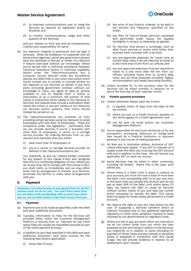

- (i) to intercept communications over or using the Services as required by legislation and/or as directed; and
- (ii) to monitor communications, usage and other aspects of the Services;

and you release us from any and all consequences, Liability and responsibility for same.

- (b) Our Network integrity is paramount and we take it seriously. While we endeavour to cooperate with all Government Agencies, some new government powers have the potential to disrupt or hinder Our Network if they're exercised without our knowledge. Where you're served with a Technical Assistance Request, Technical Assistance Notice or Technical Capability Notice under the Telecommunications Act, a Computer Access Warrant under the *Surveillance Devices Act 2004* (Cth) or any other instrument which would compel you to access, or provide access to, Our Network or our Services on behalf of any third party (including government entities) without our knowledge or input, you agree to take all actions available to you to dispute such a notice or instrument, or at a minimum, the portion of that notice or instrument which relates to Our Network or Services. Any dispute shall include a submission that, where the notice or warrant relates to Our Network, our Services and/or systems, that notice should instead be served on us.
- <span id="page-6-0"></span>(c) The Telecommunications Act prohibits us from providing certain services using Our Network to small businesses with less than 15 employees. There are exceptions under the legislation - particularly that we can provide services if you're a business with more than 14 employees, a carrier or a carriage service provider. By ordering Services from us, you warrant and represent that you either:
	- (i) have more than 14 employees; or
	- (ii) you're a carrier or carriage services provider as defined in the Telecommunications Act.

You indemnify us and our related bodies corporate for any breach of this clause [4.12\(c\)](#page-6-0) and recognise that this is a continuing obligation on you. Where you do, at any time, fail to comply with this clause [4.12\(c\),](#page-6-0)  you shall notify us immediately and we may either enter into an arrangement to transfer your Services, terminate the Service or make other arrangements with you.

# <span id="page-6-2"></span>**5. Payment**

**Summary: You need to pay us any agreed fees for all the various work we do for you. You can't have more than our set Debt Limit outstanding with us and if you don't pay us, we can take action to get that money from you.**

#### **5.1 Payments**

- (a) Payments are to be made as specified under this MSA and each Additional Document.
- (b) Typically, information on Fees for the Services will provided either within the Customer Management Platform or directly from us. Payment for any initial setup Fees will usually be requested and paid as part of the initial payment process.
- (c) In addition to any Fees specified in this MSA and each Additional Document, we'll issue invoices for the following fees (where applicable):
	- (i) setup fees (if any);
- (ii) the price of any Product ordered, to be paid in the amount and frequency specified on the Order;
- (iii) any fees for Out-of-Scope Services requested and performed under clause [3.9,](#page-3-1) payable fortnightly in arrears or otherwise as agreed;
- (iv) for Services that attract a surcharge, such as after hours services or onsite visits (other than planned visits included with a Service);
- (v) any pre-approved expenses for travel time at current daily rates if we are required to travel to a site more than 15 km from our offices; and
- (vi) any pre-approved expenses if we are required to travel to a site more than 100 km from our offices, including travel time at current daily rates, and all travel expenses including flights, accommodation and meals (excluding alcohol).
- (d) Unless provided for to the contrary, Fees for the Services will be billed monthly in advance on or about the first day of each calendar month.

## **5.2 Further payment provisions**

- (a) Unless otherwise stated, each tax invoice:
	- (i) is payable within 14 days from the date of the tax invoice;
	- (ii) where you are on a Credit Account, payable on the terms agreed in a Credit Agreement; and
	- (iii) will be sent via email and/or our Customer Management Platform.
- (b) You're responsible for and must reimburse us for any transaction, processing, dishonour or charge-back fees issued by a financial institution or payment gateway in the course of making payment.
- (c) All fees are in Australian dollars, exclusive of GST unless otherwise stated. If any GST is imposed on a supply under this MSA, you must pay the GST amount with and in addition to the Fees. We will itemise any applicable GST on each tax invoice.
- (d) Some Services may be billed in other currencies, including US Dollars. Where this is the case, we'll advise you.
- (e) Where there is a Debt Limit in place in relation to your account, you must not have a total of more than the Debt Limit outstanding with us at any one time. In the event that you exceed this amount and do not pay at least 50% of the Debt Limit within seven (7) days, we reserve the right to cease all Services without further notice to you and take any further action necessary to recover the debt. This clause does not apply for funds validly attributed to a Credit Account.
- (f) We reserve the right to vary any Fees where our the cost of supplying a Services (whether direct or indirect) increases due to any additional legislative, regulatory or other costs, penalties, imposts or taxes imposed by any governmental or regulatory body.
- <span id="page-6-1"></span>(g) Where you fail to pay any taxes which are required or we do not collect taxes from you which are later assessed as due and owing in relation to the Services, you indemnify us in relation to same (including for payment of those Taxes and any interest or penalties levied or assessed in connection with this clause [5.2\(g\)\)](#page-6-1). We will provide evidence in relation to an assessment upon request.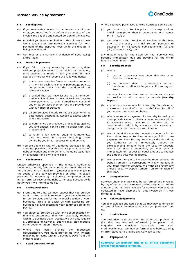

# <span id="page-7-0"></span>**5.3 Fee disputes**

- (a) If you reasonably believe that an invoice contains an error, you must notify us before the due date of the invoice and pay the undisputed portion of the invoice.
- (b) Provided you have complied with this clause [5.3,](#page-7-0) we won't suspend or terminate any Services for nonpayment of the disputed Fees while the dispute is being investigated.
- (c) Our records are sufficient evidence of Fees owing and/or paid.

# **5.4 Default in payment**

- (a) If you fail to pay any invoice by the due date, then without prejudice to our other rights or remedies, until payment is made in full (including for any accrued interest), we reserve the following rights:
	- (i) to charge an overdue fee on all overdue amounts at the RBA cash rate plus 6 percentage points, compounded daily from the due date of the relevant invoice;
	- (ii) provided that we have issued you a reminder notice which allowed at least 5 Business Days to make payment, to then immediately suspend any or all Services then on foot and provide you with a Notice of Default;
	- (iii) where Services include rental of space within a data centre, suspend all access to assets within that data centre;
	- (iv) to commence debt recovery proceedings against you and engage a third party to assist with that process; and
	- (v) to retain a lien over all equipment, materials, data and work in progress, including those owned by you in our possession and control.
- (b) You are liable by way of liquidated damages for all amounts payable under this clause plus all costs of debt collection and enforcement, including legal fees on a solicitor and own client basis.

#### **5.5 Fee increase**

Unless otherwise specified in the relevant Additional Document, monthly fees and surcharges remain the same for the duration an Initial Term (subject to any changes in the scope of the services provided or other increases provided for elsewhere). Following completion of an Initial Term, we reserve the right to increase Fees, but will notify you if we intend to do so.

#### **5.6 Creditworthiness**

- (a) From time to time, we may request that you provide us with information in relation to your capacity to pay for our Services and/or the financial position of your business. This is to assist us with assessing our business risk and determine your continued ability to pay us.
- (b) You agree to provide us with any documentation or financial statements that we reasonably request within 10 Business Days. Usually, we will only require a Certificate of Solvency but we may also request other documentation if needed.
- (c) Where you can't provide the requested documentation, you must provide us with written reasoning for same within 10 Business Days from the initial request.

#### **5.7 Fixed Contract Period**

Where you have purchased a Fixed Contract Service and:

- (a) you terminate a Service prior to the expiry of its Initial Term (other than in accordance with clause [14.1](#page-14-1) or [14.2\)](#page-14-2); or
- (b) we terminate that Service, all Services or this MSA prior to the expiry of Initial Term(s) pursuant to clauses [14.1](#page-14-1) o[r 14.3](#page-14-0) (save for sub-sections (ii)[, \(vii\)](#page-14-3) and [\(viii\)](#page-14-4) of clause [14.3\)](#page-14-0); then

any unpaid Fees for the Fixed Contract Services will become immediately due and payable for the entire length of each Initial Term.

#### <span id="page-7-1"></span>**5.8 Security Deposit**

- (a) Where:
	- (i) you fail to pay our Fees under this MSA or an Additional Document; or
	- (ii) we consider that it is necessary for our continued confidence in your ability to pay our Fees;

we may give you Written Notice that we require you to provide us with a security deposit (**Security Deposit**).

- (b) Any amount we require for a Security Deposit must not exceed a total of three months' Fees for all of your current Services combined.
- (c) Where we require payment of a Security Deposit, you must provide same to a bank account we elect within 10 Business Days. Failure to do this will be considered a default by you under this Agreement and grounds for immediate termination.
- (d) We will hold the Security Deposit as security for all Fees related to your Services. Where you fail to make payment for Fees for any Service by the due date, you authorise us to immediately deduct the corresponding amount from the Security Deposit. Where we make a deduction, you must pay us immediately on request an equal amount to replace the amount that was deducted.
- (e) We reserve the right to increase the required Security Deposit amount to correspond with any increase in your total Fees for Services. We must also return any unused Security Deposit amount on termination of this MSA.

#### **5.9 Group Invoices**

Services under this MSA may be performed and invoiced by any of our entities or related bodies corporate. Where another of our entities invoices for Services, you shall be obligated to make payment for that invoice as if it was rendered by us.

## **5.10 Acknowledgements**

You acknowledge and agree that we may pay commission or referral fees in relation to Services you purchase from us.

#### **5.11 Credit Checks**

You authorise us to use any information you provide us (including any Personal Information) to perform all enquiries we consider reasonable into your creditworthiness. We may perform checks before, during or after electing to provide any Services to you.

#### **6. Equipment**

**Summary: We maintain title to all of our equipment unless you purchase it from us.**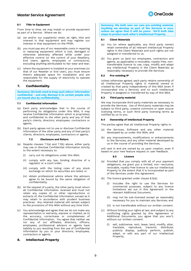

### **6.1 Title to Equipment**

From time to time, we may install or provide equipment as part of a Service. Where we do:

- we and/or our supplier(s) retain all right, title and interest in that equipment and may register our interest in that equipment on the PPSR;
- (b) you must pay any of our reasonable costs in repairing or replacing equipment which is lost, damaged or otherwise adversely affected while under your effective control (or the control of your Resellers, End Users, agents, employees or contractors), excluding anything attributable to fair wear and tear;
- (c) where the equipment is installed at your premises (or that of our Reseller or End User), you must ensure there's adequate space for installation and are responsible for the supply of electricity to operate the equipment.

# <span id="page-8-3"></span>**7. Confidentiality**

**Summary: We both need to keep each others' information confidential - and only disclose it to certain people who are bound also by confidentiality.**

# **7.1 Confidential Information**

- <span id="page-8-0"></span>(a) Each party acknowledges that in the course of performing its obligations under this MSA, it may receive Confidential Information which is proprietary and confidential to the other party and any of that party's clients, directors, employees, contractors or agents.
- <span id="page-8-1"></span>(b) Each party agrees not to use or disclose Confidential Information of the other party and any of that party's clients, directors, employees, contractors or agents.

## **7.2 Disclosure and Return**

- (a) Despite clauses [7.1\(a\)](#page-8-0) and [7.1\(b\) above,](#page-8-1) either party may use or disclose Confidential Information strictly to the extent necessary to:
	- (i) carry out its obligations under this MSA;
	- (ii) comply with any law, binding directive of a regulator or a court order;
	- (iii) comply with the listing rules of any stock exchange on which its securities are listed; or
	- (iv) obtain professional advice where the advisors agree to be bound by the same obligation of confidentiality.
- (b) At the request of a party, the other party must return all Confidential Information received and must not retain any copies of, or other reproductions or extracts of, the Confidential Information, except as it may retain in accordance with prudent business practices. Any retained material will remain subject to the provisions of this MSA without any time limit.
- (c) You acknowledge and agree that we do not make any representation or warranty, express or implied, as to the accuracy, correctness or completeness of Confidential Information. You agree that neither we nor any of our affiliates, directors, officers, employees, professional advisors or agents have liability to you resulting from the use of Confidential Information by you or your directors, employees, contractors or agents.

# <span id="page-8-4"></span>**8. Intellectual Property**

**Summary: We both own our own pre-existing material. Anything we develop as part of the Services is ours, unless we agree that it will be yours. We'll both take steps to protect each other's Intellectual Property.**

#### **8.1 Client Materials**

- (a) You (or where applicable, any third party owner) retain ownership of all relevant Intellectual Property rights in the Client Materials and such rights are not assigned or transferred to us.
- (b) You grant us (and our employees, contractors and agents, as applicable) a revocable, royalty-free, nontransferable licence to use, copy, modify and adapt any Intellectual Property in the Client Materials as reasonably necessary to provide the Services.

# **8.2 Pre-existing IP**

Unless otherwise agreed, each party retains ownership of all Intellectual Property rights in material owned or created by that party independently of this MSA (even if incorporated into a Service), and no such Intellectual Property is assigned or transferred by way of this MSA.

#### **8.3 Third party material**

We may incorporate third party materials as necessary to provide the Services. Use of third party materials may be subject to third party, creative commons or open source licensing terms, or such third party licensing terms as notified by us to you.

#### **8.4 Ownership of Intellectual Property**

The parties agree that all Intellectual Property rights in:

- (a) the Services, Software and any other material developed by us under this MSA; and
- (b) any improvements, modifications or enhancements to the Services, and any other material developed by us in the course of providing the Services,

will vest in and are owned by us upon creation, even if based on your new feature request or user feedback.

# **8.5 Licence**

- <span id="page-8-2"></span>(a) Provided that you comply with all of your payment obligations, we grant you a limited, non--exclusive, revocable, royalty-free licence to use our Intellectual Property to the extent that it is incorporated as part of the Services under this Agreement.
- (b) The licence granted under clause [8.5\(a\):](#page-8-2)
	- (i) includes the right to use the Services for commercial purposes, subject to any licence limitations set out in this Agreement or the relevant Additional Document;
	- (ii) may not be sub-licensed except as reasonably necessary for you to maintain any Services; and
	- (iii) is not transferable without our written consent.
- (c) Without limiting your rights at law, and subject to any conflicting rights granted by this Agreement or Additional Documents, you agree that you won't, without our written consent:
	- (i) sell, sublicense, rent, lease, lend, modify, alter, translate, reproduce, transmit, distribute, publicly display, publicly perform, publish, adapt, or edit any part of our Intellectual Property;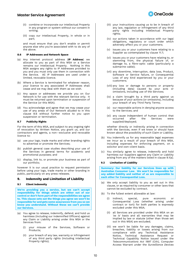

- (ii) combine or incorporate our Intellectual Property in any program or system without our consent in writing;
- (iii) copy our Intellectual Property, in whole or in part;

and must ensure that you don't enable or permit anyone else who you're associated with to do any of the above.

## <span id="page-9-0"></span>**8.6 IP Addresses and Network Space**

- (a) Any internet protocol address (**IP Address**) we allocate to you as part of this MSA or a Service remains our Intellectual Property. Nothing in this MSA assigns any rights to IP Addresses provided to you and you must only use them in connection with the Service. All IP Addresses are used under a limited, revocable licence.
- (b) Where a Service is terminated for whatever reason, your licence to any associated IP Addresses shall cease and we may deal with them as we wish.
- (c) Any space or addresses we provide you on Our Network is for use with the relevant Service only. It must be returned upon termination or suspension of the Service (or this MSA).
- (d) You acknowledge and agree that we may cease your use of any areas of Our Network alluded to in this clause [8.6](#page-9-0) without further notice to you upon suspension or termination.

# **8.7 Publicity Rights**

For the term of this MSA, and subject to any ongoing right of revocation by Written Notice, you grant us, and our contractors and agents, a non--exclusive and revocable licence to:

- (a) use your logo, trade marks and other branding rights to advertise or promote the Services;
- (b) publish general case studies describing your use of the Services in general terms for academic and promotional purposes; and
- (c) display, link to, or promote your business as part of our portfolio;

however it is our usual practice to request permission before using your logo, trade marks or other branding in public, particularly on any press releases.

# <span id="page-9-2"></span>**9. Indemnity and Limitation of Liability**

## **9.1 Client indemnity**

**We're providing you a service, but we can't accept responsibility for things which are either out of our control or don't form part of the responsibilities we agree to. This clause sets out the things you agree we won't be responsible for and gets some assurances from you so we know you understand. Without these we can't provide our Services.**

- <span id="page-9-1"></span>(a) You agree to release, indemnify, defend, and hold us harmless (including our Indemnified Officers) against any Claim or Liability arising under this MSA or the Services from:
	- (i) your misuse of the Services, Software or Products;
	- (ii) your breach of any law, warranty or infringement of any third party rights (including Intellectual Property rights);
- (iii) your instructions causing us to be in breach of any law, regulation or infringement of any third party rights including Intellectual Property rights;
- (iv) our actions taken in accordance with our legal obligations, regulatory or court order which adversely affect you or your customers;
- (v) issues you or your customers have relating to a Supplier as contemplated by clause [11.7;](#page-11-0)
- (vi) issues you or your customers have relating to, or stemming from, the physical failure of, or damage to, a fibre-optic cable (particularly a submarine cable);
- (vii) any downtime, interruption, data loss, Product, Software or Service failure, or Consequential Loss of any kind experienced by you or your customers;
- (viii) any loss or damage to persons or property (including data) caused by your acts or omissions, including use of the Services;
- (ix) a claim brought by a third party against us because of your actions (or omissions), including your breach of any Third Party Terms;
- (x) our reasonable actions in denying anyone access to the Services; and
- (xi) any cause independent of human control that<br>occurred after the Services were Services were supplied/deployed;

whether directly or indirectly arising in connection with the Services, even if we knew or should have known about the possibility of such Claim or Liability.

- (b) You indemnify us for any reasonable legal expenses we incur as a result of your breach of this MSA, including expenses for enforcing payment, on a solicitor and own-client basis.
- (c) You similarly agree to release, indemnify and hold harmless our Suppliers against any Claim or Liability arising from any of the matters listed in clause [9.1\(a\).](#page-9-1)

#### **9.2 Limitation of Liability**

**Summary: Our liability for our Services lines up with Australian Consumer Law. We won't be responsible for any added liability and neither of us are responsible to each other for Consequential Loss.**

- (a) We only accept liability to you as set out in this clause, or as required by consumer or other laws that cannot be excluded by contract.
- (b) To the fullest extent allowable at law:
	- (i) indirect, special, pure economic or Consequential Loss (whether arising under contract or tort) for both parties is expressly excluded under this MSA;
	- (ii) all Services are provided under this MSA on an *'as is*' basis and all warranties that may be implied by law or statute (other than those set out in this MSA) are excluded;
	- (iii) we won't be liable for any damages, claims, breaches, liability or losses arising from our compliance with any Technical Assistance Notice, Technical Assistance Request or Technical Capability Notice issued under the *Telecommunications Act 1997* (Cth), Computer Access Warrant under the *Surveillance Devices*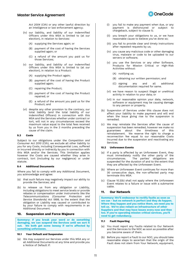



*Act 2004* (Cth) or any other lawful direction by an intelligence or law enforcement agency;

- (iv) our liability, and liability of our Indemnified Officers under this MSA is limited to (at our election), in relation to Services:
	- (A) supplying the Services again; or
	- (B) payment of the cost of having the Services supplied again; or
	- (C) a refund of the amount you paid us for those Services;
- (v) our liability, and liability of our Indemnified Officers under this MSA is limited to (at our election), in relation to a Product:
	- (A) supplying the Product again;
	- (B) payment of the cost of having the Product supplied again;
	- (C) repairing the Product;
	- (D) payment of the cost of having the Product repaired; or
	- (E) a refund of the amount you paid us for the Product; and
- (vi) despite any other provision to the contrary, our total liability (and the total liability of our Indemnified Officers) in connection with this MSA and the Services whether under contract or tort, will not in any circumstances exceed the maximum value equal to the total fees received by us from you in the 3 months preceding the cause of the claim.

#### **9.3 Costs**

Subject to our obligations under the *Competition and Consumer Act 2010* (Cth), we exclude all other liability to you for any Costs, including Consequential Loss, suffered or incurred directly or indirectly by you in connection with this MSA and/or the Services. This limitation applies however the Costs are caused whether they arise in contract, tort (including by our negligence) or under statute.

#### **9.4 Additional Documents**

Where you fail to comply with any Additional Document, you acknowledge and agree:

- (a) that such failure may negatively impact our ability to provide the Services; and
- (b) to release us from any obligation or Liability, including obligations to meet service levels or provide rebates or compensation under instruments like the *Telecommunications (Consumer Protection and Service Standards) Act 1999,* to the extent that the obligation or Liability was caused or contributed to by your failure to comply with requirements in an Additional Document.

#### **10. Suspension and Force Majeure**

**Summary: If you break your word or do something damaging, we can suspend the Services until we sort it out. We both get some leeway if we're affected by something unforeseen.**

## **10.1 Your Default and Suspension**

(a) We may suspend our Services under this MSA any or all Additional Documents at any time and provide you a Notice of Default if:

- (i) you fail to make any payment when due, or any payment is dishonoured or subject to chargeback, subject to clause [5;](#page-6-2)
- (ii) you breach your obligations to us, or we have reasonable cause to believe you've done so;
- (iii) you fail to provide clear and timely instructions after repeated requests by us;
- (iv) you cause any malicious code or other damaging virus, malware or code to be uploaded to our servers or software;
- (v) you use the Services or any other Software, Products for Mission Critical or High-Risk Activities without:
	- (A) notifying us;
	- (B) obtaining our written permission; and
	- (C) signing any and all additional documentation required for same.
- (vi) we have reason to suspect illegal or unethical activity in relation to your data; or
- (vii) in our reasonable opinion your data, network, software or equipment may be causing damage to any person or property.
- (b) Suspension of Services under this clause does not affect your liability to make payment and will end when the issue giving rise to the suspension is remedied.
- (c) We may reinstate the Services after the cause of suspension has been remedied, however we make no guarantees about the timeliness of this reinstatement. We reserve the right to charge a reconnection fee equal to our reasonable Costs incurred due to the suspension and reactivating any Services.

# **10.2 Unforeseen Events**

- (a) If a party is affected by an Unforeseen Event, they must immediately notify the other party of the circumstances. The parties' obligations are suspended for the duration of and to the extent that they are affected by the Unforeseen Event.
- <span id="page-10-0"></span>(b) Where an Unforeseen Event continues for more than 30 consecutive days, the non-affected party may terminate this MSA.
- (c) Clause [10.2\(b\)](#page-10-0) shall not apply where the Unforeseen Event relates to a failure or issue with a submarine cable.

# **11. Our Network**

**Summary: We'll endeavour to rectify faults as soon as we can - but no network is perfect and they do happen. Where they happen and you notice them, we need you to tell us. We're also reliant on infrastructure of other Suppliers and that may have issues every now and then too. If you're operating mission critical services, you'll need to get redundancy.**

## **11.1 Fault Reporting**

- (a) You must report any Faults related to Our Network and the Services to the NOC as soon as possible after you become aware of them.
- (b) Before you report a Fault to our NOC, you should take reasonable steps to ascertain that the origin of the Fault does not stem from Your Network, equipment,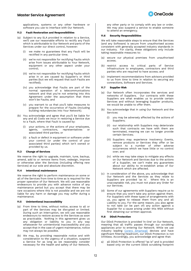

applications, systems or any other hardware or software you use to interface with Our Network.

## **11.2 Fault Restoration and Responsibilities**

- (a) Subject to any SLA provided in relation to a Service, we'll use our reasonable efforts to rectify any Fault which is attributable to Our Network and parts of the Services under our direct control, however:
	- (i) we make no guarantees that any Fault will be rectified in any particular time;
	- (ii) we're not responsible for rectifying Faults which arise from issues attributable to Your Network, equipment or any other aspect under your control;
	- (iii) we're not responsible for rectifying Faults which arise in or are caused by Supplier's or third parties (but we will request that such Faults are rectified);
	- (iv) you acknowledge that Faults are part of the normal operation of a telecommunications network and that you're not entering into this Agreement under the assumption that there won't be Faults; and
	- (v) you warrant to us that you'll take measures to prepare for the occurrence of Faults (including building redundancies into Your Network).
- (b) You acknowledge and agree that you'll be liable for any and all Costs we incur in restoring a Service due to a Fault, where that Fault is caused by:
	- (i) your actions, or the actions of your employees, agents, contractors, representatives or associated third parties; or
	- (ii) a fault or defect in equipment or software under your control (or under the control of your associated third parties) which isn't owned or provided by us.

#### **11.3 Change of Services**

We reserve the right to upgrade, maintain, tune, backup, amend, add to or remove items from, redesign, improve or otherwise alter the Services (including offering new Services) at our sole and absolute discretion.

# **11.4 Intentional maintenance**

We reserve the right to perform maintenance on some or all of the Services from time to time as is required for the proper operation of Our Network. We will use reasonable endeavours to provide you with advance notice of any maintenance period but you accept that there may be rare occasions where this is not possible and we are not liable for any harm or damage you may suffer during a maintenance.

#### **11.5 Unintentional inaccessibility**

- (a) From time to time, without notice, access to all or part of the Services may be disrupted or limited. During such an interruption, we will use reasonable endeavours to restore access to the Services as soon as practicable. Nothing in this agreement gives us any obligation or liability to you in any way whatsoever for unintentional inaccessibility and you accept that in the case of urgent maintenance, notice may not always be possible.
- (b) We may, by providing reasonable notice and with consideration to the urgency of a situation, suspend a Service for as long as we reasonably consider necessary for the health and safety of Our Network,

any other party or to comply with any law or order. We may also suspend a service to enable someone to attend an emergency.

#### **11.6 Security Responsibilities**

We will take reasonable steps to ensure that the Services (and any Software) is secure from unauthorised access consistent with generally accepted industry standards in our industry. For clarity, these obligations only include taking reasonable measures to:

- (a) secure our physical premises from unauthorised access;
- (b) restrict access to critical parts of Service infrastructure to employees, contractors and third parties who are required to have access; and
- (c) implement recommendations from advisors provided to us from time to time in relation to securing any connections, Software and Services.

#### <span id="page-11-0"></span>**11.7 Supplier Risk**

- (a) Our Network often incorporates the services and networks of Suppliers. Our contracts with these Suppliers are what enables us to provide certain Services and without leveraging Supplier products, we would be unable to offer them.
- (b) You acknowledge that in using Our Network and the Services:
	- (i) you may be adversely affected by the actions of Suppliers;
	- (ii) our relationship with Suppliers may deteriorate such that contracts we have with them are terminated, meaning we can no longer provide certain Services;
	- (iii) Suppliers may experience Insolvency Events, remove products or Services they offer or be subject to a number of other adverse occurrences which we have little or no control over; and
	- (iv) while we may take steps to mitigate any effects on Our Network and Services due to the actions of a Supplier, we can't make any guarantees about our ability to re-establish areas of Our Network which are affected.
- (c) In consideration of the above, you acknowledge that Our Network and the Services as they relate to Suppliers are provided 'as is'. Where this is an unacceptable risk, you must not place any Order for our Services.
- (d) Some of our agreements with Suppliers require us to ensure that you won't take any action against them. For Suppliers with these types of arrangements with us, you agree to release them from any and all Liability to you. For the same reason, you also agree to not take (or be part of) any action against a Supplier for a cause arising under this MSA without first obtaining our written approval.

#### **11.8 DDoS Protection**

Our DDoS Protection is provided 'in-line' on Our Network, meaning that all traffic passes through our scrubbing appliances prior to entering Our Network. While we use industry leading [Corero Smartwall](https://www.corero.com/product/smartwall-ddos-protection/) devices and have significant filtering headroom, our DDoS Protection is not limitless. Accordingly, you acknowledge and agree that:

all DDoS Protection is offered "as is" and is provided based only on the current DDoS scrubbing footprint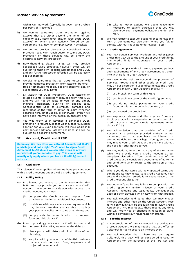

within Our Network (typically between 20-80 Gbps per Point of Presence);

- b) we cannot guarantee DDoS Protection against attacks that are either beyond the limits of our capacity (e.g., state level and/or large-scale DDoS attacks) or which aren't actively filtered by our equipment (e.g., new or complex Layer-7 attacks);
- c) we do not provide discrete or specialised DDoS Protection to any IP Transit customers, and any DDoS Protection on these services will be simply the existing in-network protection;
- d) notwithstanding clause 11.8(c), we may provide specialised DDoS products, however, these will be subject to their own specific agreements and SLAs, and any further protection afforded will be expressly set out therein;
- e) we give no guarantees that our DDoS Protection will provide complete protection from attacks, be errorfree or otherwise meet any specific outcome, goal or expectation you may have;
- f) all liability for DDoS Protection, DDoS attacks or related events is expressly excluded from this MSA and we will not be liable to you for any direct, indirect, incidental, punitive or special loss, Consequential Loss or exemplary damages and regardless of the form of action or claim (whether contract, tort, strict liability or otherwise), even if we have been informed of the possibility thereof; and
- g) you will notify us in advance if enhanced DDoS protection is required, so that we may tailor a custom solution for you. Such solutions will incur additional cost and/or additional latency penalties and will be subject to a separate agreement.

# <span id="page-12-0"></span>**12. Account, Credit and PPSR**

**Summary: We may offer you a Credit Account, but that's a privilege and not a right. You'll need to sign a Credit Agreement to get it, and we can take steps to protect ourselves if you're not able to pay. This clause will usually only apply where you have a Credit Agreement with us.**

#### **12.1 Application**

This clause [12](#page-12-0) only applies where we have provided you with a Credit Account under a valid Credit Agreement.

#### **12.2 Ability to Pay**

- (a) In allowing you access to the Services under this MSA, we may provide you with access to a Credit Account. In order to provide you with access to a Credit Account, you must:
	- (i) complete the Credit Account request form attached to the initial Additional Document;
	- (ii) provide us with any evidence we request which may demonstrate that you are able to satisfy your payment obligations to us at all times; and
	- (iii) comply with the terms listed on that request form and this clause [12.](#page-12-0)
- <span id="page-12-1"></span>(b) Prior to providing you access to a Credit Account, and for the term of this MSA, we reserve the right to:
	- (i) check your credit history with institutions of our choosing;
	- (ii) enquire with you about confidential business matters such as cash flow, expenses and projected revenue; and
- (iii) take all other actions we deem reasonably necessary to satisfy ourselves that you will discharge your payment obligations under this MSA.
- (c) We may refuse to execute, suspend or terminate this MSA at our complete discretion where you fail to comply with our requests under clause [12.2\(b\).](#page-12-1)

#### **12.3 Credit Agreement**

- (a) You may obtain Services, Products and other goods under this MSA up to the amount of your credit limit. The credit limit is stipulated in your Credit Agreement.
- (b) You must comply with all terms, payment periods and requirements of any Credit Agreement you enter into with us for a Credit Account.
- <span id="page-12-2"></span>(c) We reserve the right to suspend the provision of Services, Products and other goods on credit and may (in our discretion) suspend/terminate the Credit Agreement and/or Credit Account entirely if:
	- you breach any term of this MSA;
	- (ii) you breach any term of the Credit Agreement;
	- (iii) you do not make payments on your Credit Account within the period stipulated; or
	- (iv) you exceed the credit limit.
- (d) You expressly release and discharge us from any Liability to you for a suspension or termination of a Credit Account and/or Credit Agreement under clause [12.3\(c\).](#page-12-2)
- (e) You acknowledge that the provision of a Credit Account is a privilege provided entirely at our discretion, and that you have no inherent or continuing right to the privilege. You agree that we may revoke your Credit Account at any time without the need for prior notice to you.
- We may update, amend or vary any of the terms on which we provide you a Credit Account at our complete discretion. Your continued use of the Credit Account is considered acceptance of all terms and conditions which relate to the provision of that account.
- (g) Where you do not agree with any updated terms and conditions as they relate to a Credit Account, your sole and exclusive remedy is to cease usage of the Credit Account altogether.
- (h) You indemnify us for any failure to comply with the Credit Agreement and/or misuse of your Credit Account, including any legal costs, Consequential Loss or other damages which flow from that breach.
- (i) You acknowledge and agree that we may charge interest and other fees on the Credit Account, fees for which will initially be set out in the relevant Credit Agreement. We may update these fees at any time, and will notify you of changes in relation to same within a commercially reasonable timeframe.

#### **12.4 Security Interest**

- (a) In contemplation of the risk involved in providing you a Credit Account, we may require that you offer up Collateral for us to secure an interest over.
- (b) You acknowledge that, where we do require Collateral, this MSA will be considered a Security Agreement for the purposes of the PPS Act and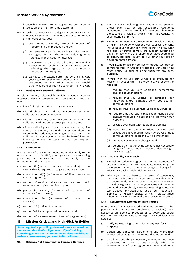

irrevocably consent to us registering our Security Interest on the PPSR for that Collateral.

- (c) In order to secure your obligations under this MSA and Credit Agreement, including any obligation to pay any amount to us, you:
	- (i) grant to us a Security Interest in respect of Property and any proceeds thereof;
	- (ii) consents to us perfecting such Security Interest by registration on the PPSR, including as a Purchase Money Security Interest;
	- (iii) undertake to us to do all things reasonably necessary or required by us to assist us in perfecting the registration of the Security Interest on the PPSR; and
	- (iv) waive, to the extent permitted by the PPS Act, your right to receive any notice of a verification statement or any other notice we would otherwise be required to give under the PPS Act.

#### **12.5 Dealing with Secured Collateral**

In relation to any Collateral for which we have a Security Interest under this agreement, you agree and warrant that you:

- (a) have full right and title in any Collateral;
- (b) will disclose any and all encumbrances over Collateral as soon as possible;
- (c) will not allow any other encumbrances over the Collateral without our express permission; and
- (d) will not sell, dispose of, grant a license or lease, give control to another, part with possession, allow the value to be reduced, commingle, or deal with the Collateral in any way which could be harmful to our interests in the Collateral without our express permission.

# **12.6 Enforcement**

If Chapter 4 of the PPS Act would otherwise apply to the enforcement of this MSA, you agree that the following provisions of the PPS Act will not apply to the enforcement of this MSA:

- (a) section 95 (notice of removal of accession), to the extent that it requires us to give a notice to you;
- (b) subsection 121(4) (enforcement of liquid assets notice to grantor);
- (c) section 130 (notice of disposal), to the extent that it requires you to give a notice to you;
- (d) paragraph 132(3)(d) (contents of statement of account after disposal);
- (e) subsection 132(4) (statement of account if no disposal);
- (f) section 135 (notice of retention);
- (g) section 142 (redemption of collateral); and
- (h) section 143 (reinstatement of security agreement).

## **13. Mission Critical and High-Risk Activities**

**Summary: We're providing 'standard' services based on the assumption that's all you need. If you're doing something where any failure in the Services would have serious consequences, you need to let us know.**

<span id="page-13-0"></span>**13.1 Reliance Not Permitted for Standard Services**

- (a) The Services, including any Products we provide under this MSA or any associated Additional Documents, are not intended for any use which may constitute a Mission Critical or High-Risk Activity in their 'standard' form.
- (b) You must not use the Services for any Mission Critical or High-Risk Activity without our express consent, including (but not limited to) the operation of nuclear facilities, air traffic control, life support systems or any other use where the failure of Services could lead to death, personal injury, serious financial cost or environmental damage.
- (c) If you intend to use any Service or Product we provide to you for Mission Critical or High-Risk Activities, you must notify us prior to using them for any such purpose.
- (d) If you wish to use our Services or Products for Mission Critical or High-Risk Activities, we reserve the right to:
	- (i) require that you sign additional agreements and/or documentation;
	- (ii) require that you upgrade or purchase your hardware and/or software which you use for communications;
	- (iii) require that you purchase additional Services;
	- (iv) require that you put in place redundancies and backup measures in case of a failure within Our Network;
	- (v) provide your staff with additional training;
	- (vi) issue further documentation, policies and procedures in your organisation wherever critical communications solutions will be implanted;
	- (vii) increase our fees and charges; and
	- (viii) do any other act or thing we consider necessary in light of the particular Mission Critical or High-Risk Activity(s).

#### **13.2 No Liability For Breach**

- (a) You acknowledge and agree that the requirements of the above clause [13.1](#page-13-0) are reasonable considering the difference in standard Services usage and usage for Mission Critical or High-Risk Activities.
- (b) Where you don't adhere to the terms of clause [13.1,](#page-13-0) including failing to strictly adhere to any directions or recommendations we give in relation to Mission Critical or High-Risk Activities, you agree to indemnify and hold us completely harmless regarding same. We won't accept any liability for use of our Products or Services for Mission Critical or High-Risk Activities where you haven't obtained our express permission.

# **13.3 Requirement Extends to Third Parties**

Where any of your associated bodies corporate or third parties (and their agents, employees or assigns) have access to our Services, Products or Software and could use them for Mission Critical or High-Risk Activities, you agree to:

- (a) notify us regarding same prior to any use for such a purpose;
- (b) obtain any consents, agreements and warranties requested by us (at our complete discretion); and
- (c) do all acts and things necessary to ensure that those associated or third parties comply with the requirements of this agreement, any Additional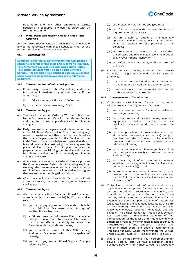

Documents and any other subordinate terms, policies or procedures to which you agree with us from time to time.

#### **13.4 Initial Permitted Mission Critical or High-Risk Activities**

Any permitted Mission Critical or High-Risk Activities, and any terms associated with those activities, shall be set out in the relevant Additional Document.

# **14. Termination**

**Summary: Either party can terminate this Agreement if someone does the wrong thing and doesn't fix it in time. This Agreement can also end with appropriate notice. This clause assumes you'll be on a Fixed Contract Service - for any non-Fixed Contract Service, you'll have some separate termination avenues in the Additional Document.**

## <span id="page-14-1"></span>**14.1 Termination for default - both parties**

- (a) Either party may end this MSA and any Additional Documents immediately by Written Notice if the other party:
	- (i) fails to remedy a Notice of Default; or
	- (ii) experiences an Insolvency Event.

#### <span id="page-14-2"></span>**14.2 Termination by you**

- (a) You may terminate an Order by Written Notice prior to the Commencement Date for the relevant Service and pay to us any applicable early termination charges.
- (b) Early termination charges are calculated as set out in the Additional Document or Order, but failing any relevant provisions in either, shall be calculated as the total charges payable for the Service for the Initial Term. You acknowledge and agree that this is fair and reasonable considering that we may need to place similar orders for Supplier services in preparation for provisioning your Service and may not be able to cancel without incurring early termination charges of our own.
- (c) Where we can cancel your Order or Service prior to the Commencement Date without incurring any loss, we may elect to reduce or waive entirely an early termination - however you acknowledge and agree that we are under no obligation to do so.
- (d) After the conclusion of an Initial Term for a Fixed Contract Service, the termination rights in clause [1.2](#page-1-0) shall apply.

#### <span id="page-14-0"></span>**14.3 Termination by us**

- <span id="page-14-8"></span><span id="page-14-5"></span>(a) We may terminate this MSA, an Additional Document or an Order (as the case may be) by Written Notice to you if:
	- (i) you fail to pay any amount due under this MSA or an Additional Document within 14 days of Written Notice from us;
	- (ii) a failure, issue or Unforeseen Event occurs in relation to one of our Suppliers which prevents us from or affects our ability to deliver the Services under any relevant terms;
	- (iii) you commit a breach of this MSA or any Additional Document which is incapable of remedy;
	- (iv) you fail to pay any Additional Supplier Charges when required;
- (v) you breach any warranties you give to us;
- (vi) you fail to comply with the Security Deposit requirements of clause [5.8;](#page-7-1)
- <span id="page-14-3"></span>(vii) we are unable to obtain or maintain any approval, licence, permit, lease or instrument which is required for the provision of the Services;
- <span id="page-14-4"></span>(viii) we are required to terminate this MSA and/or the Services due to a change in law or a direction of any Government Agency; or
- (ix) you refuse or fail to comply with any terms of this MSA.
- (b) For the removal of doubt, where we have cause to terminate a single Service under clause [14.3\(a\)](#page-14-5) or otherwise:
	- (i) you shall be considered as defaulting under this MSA and all Additional Documents; and
	- (ii) we may elect to terminate this MSA and all other Services concurrently.

#### <span id="page-14-10"></span>**14.4 Consequences of Termination**

- <span id="page-14-7"></span><span id="page-14-6"></span>(a) If this MSA or a Service ends for any reason, then in addition to any other rights we may have:
	- (i) we may issue an invoice for Services delivered but not yet invoiced;
	- (ii) you must return all access codes, keys and equipment that belong to us (or that we have provided to you and you do not own clear title to);
	- (iii) you must provide us with reasonable access and all required assistance (on notice) to your premises for the purpose of disconnecting, removing or de-commissioning a Service and any related equipment;
	- (iv) you must remove all equipment you have within data centre space we have provided within 5 Business Days;
	- (v) you must pay all of our outstanding invoices whether or not due, including any invoice issued under clause [14.4\(a\)\(i\);](#page-14-6) and
	- (vi) we retain a lien over all equipment and data we possess until all outstanding invoices have been paid in full, including any invoice issued under clause [14.4\(a\)\(i\).](#page-14-6)
- <span id="page-14-9"></span>(b) If Service is terminated before the end of any applicable contract period for any reason, and we were not in default in relation to that Service, then in addition to the rights specified in clauses [14.4\(a\)](#page-14-7) and any other rights we may have, all fees for the balance of the contract period (if any) of that Service (calculated using the fees applicable as at the date of termination), excluding any costs we can reasonably mitigate, become immediately due and payable. The parties agree that this is not a penalty, but represents a reasonable estimate of fair compensation for the losses that may reasonably be anticipated from early termination in light of our sunk infrastructure, effort, support, training and implementation costs and ongoing commitments. This does not apply where we terminate the Service under clauses [14.3\(a\)\(ii\),](#page-14-8) [14.3\(a\)\(vii\)](#page-14-3) an[d 14.3\(a\)\(viii\).](#page-14-4)
- (c) Where you do not remove your equipment under clause [14.4\(a\)\(iv\)](#page-14-9) after we have provided at least 5 Business Days Written Notice to you, you waive any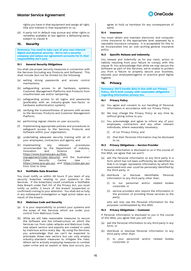



rights you have in that equipment and assign all right, title and interest in that equipment to us.

(d) A party not in default may pursue any other rights or remedies available at law against a defaulting party, subject to clause [9.](#page-9-2)

# <span id="page-15-0"></span>**15. Security**

**Summary: You need to take care of your own internal digital and physical security. We're not a security company and unless our agreement accounts for it, that responsibility isn't ours.**

#### **15.1 General Security Obligations**

You shall use proper security measures in connection with the Services (including any Products and Software). This shall include (but not be limited to) the following:

- (a) setting strong passwords and access control mechanisms;
- (b) safeguarding access to all hardware, systems, Customer Management Platforms and Products from unauthorised use and/or tampering;
- (c) safeguarding access to all logins and passwords (preferably with an industry-grade two-factor or hardware authentication system);
- (d) verifying the trustworthiness of persons with access to the Services, Products and Customer Management Platform;
- (e) performing regular checks on user accounts;
- (f) implementing appropriate policies and procedures to safeguard access to the Services, Products and Software within your organisation;
- (g) undertaking adequate security training with all of your employees, contractors and agents; and
- (h) implementing any relevant procedures recommended by the Department of Industry,<br>Innovation and Science (see -Innovation and Science (see https://www.business.gov.au/Riskmanagement/Cyber-Security) and the Australian<br>Cyber Security Centre (see -Cyber Security Centre https://www.acsc.gov.au/ and https://cyber.gov.au) from time to time.

#### **15.2 Notifiable Data Breaches**

You must notify us within 48 hours if you learn of any security breaches relating to your systems or the Services. If the breach(es) could constitute a Notifiable Data Breach under Part IIIC of the Privacy Act, you must notify us within 3 hours of the breach (suspected or confirmed) coming to your attention. You shall aid us fully in any subsequent investigation or legal action taken as a result of the breach.

## **15.3 Malicious Code and Security**

- (a) It is your responsibility to protect your systems and the areas of the Services which are under your control from Malicious Code.
- (b) While we will take reasonable measures to secure the Software and the infrastructure on which the Services run from cyber-attacks and Malicious Code, new attack vectors and exploits are created or used by malicious actors every day. By using the Services, you acknowledge that we can't be expected to anticipate these new vectors but can only employ industry-standard measures to mitigate the risks. Where we're actively employing measures to combat cyber-crime and an exploit or data loss occurs, you

agree to hold us harmless for any consequences of same.

### **15.4 Insurance**

You must obtain and maintain electronic and computer crime insurance to the appropriate level assessed by a reputable insurance company. It is acceptable for this to be incorporated into an over-arching general insurance policy.

#### **15.5 Specific Release and Indemnity**

You release and indemnify us for any claim, action or liability resulting from your failure to comply with this clause [15.](#page-15-0) You acknowledge that while we may secure the Software as part of the Services, we're unable to protect you from a failure to properly secure your business, educate your employees/agents or practice good digital hygiene.

# **16. Privacy**

**Summary: We'll handle data in line with our Privacy Policy. We'll both comply with reasonable obligations regarding information privacy too.**

#### **16.1 Privacy Policy**

- (a) You agree and consent to our handling of Personal Information in accordance with our Privacy Policy.
- (b) We may change the Privacy Policy at any time by without giving notice to you.
- (c) You acknowledge and agree to inform any of your employees, contractors and any other relevant individuals, where reasonably necessary:
	- (i) of our Privacy Policy; and
	- (ii) that their Personal Information may be disclosed to us.

#### **16.2 Privacy Obligations – Service Provider**

If Personal Information is disclosed to us in the course of this MSA, we agree that we won't:

- (a) sell the Personal Information to any third party in a form which has not been sufficiently de-identified so that it no longer represents information by which the associated end user could be personally identified by the third party; or
- (b) distribute or disclose identifiable Personal Information to any third party other than:
	- (i) to our personnel and/or related bodies corporate; or
	- (ii) service providers who require the information in the provision of providing those services to the party;

who will only use the Personal Information for the purposes contemplated by this MSA.

#### **16.3 Privacy Obligations – Customer**

If Personal Information is disclosed to you in the course of this MSA, you agree that you will not:

- (a) sell the Personal Information to any third party in any form; or
- (b) distribute or disclose Personal Information to any third party other than:
	- (i) to your personnel and/or related bodies corporate; or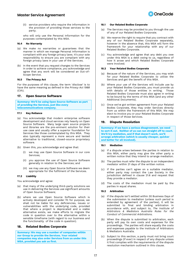

(ii) service providers who require the information in the provision of providing those services to the party;

who will only use the Personal Information for the purposes contemplated by this MSA.

## **16.4 No Warranty**

- (a) We make no warranties or guarantees that the manner in which we manage Personal Information is compliant with any foreign privacy laws. It's your sole responsibility to ensure you are compliant with any foreign privacy laws in your use of the Services.
- (b) In the event that you request changes to the Services in order to achieve compliance, you acknowledge and agree that any work will be considered an Out-of-Scope Service.

# **16.5 The Privacy Act**

For the purposes of this clause, the term '*disclose*' is to have the same meaning as defined in the *Privacy Act 1988* (Cth).

# **17. Open Source Software**

**Summary: We'll be using Open Source Software as part of providing the Services, just like every telecommunications company.** 

#### **17.1 Key Reliance**

- (a) You acknowledge that modern enterprise software development and cloud services rely heavily on Open Source Software. Many large open source projects and libraries are the pre-eminent solution for their use case and usually offer a superior foundation for Services like those contemplated by this MSA. They also typically represent a more secure and tested alternative to traditional, closed-source proprietary software.
- (b) Given this, you acknowledge and agree that:
	- (i) we may use Open Source Software in our core Services;
	- (ii) you approve the use of Open Source Software generally in relation to the Services; and
	- (iii) we may use any Open Source Software we deem appropriate for the fulfilment of the Services.

#### **17.2 Liability**

You acknowledge and agree:

- (a) that many of the underlying third-party solutions we use in delivering the Services use significant amounts of Open Source Software;
- (b) where we use Open Source Software which is actively developed and consider fit for purpose, we shall not be liable for any deficiencies, issues or vulnerabilities with the underlying code, provided that where a project is deprecated and a viable alternative exists, we make efforts to migrate the code in question over to the alternative within a sensible timeframe (with regard to our business and the functionality of the code in question).

# **18. Related Bodies Corporate**

**Summary: We may use a number of companies within our Group to provide the Services. Your related companies may also order Services from us under this MSA, provided you ask us first.**

#### **18.1 Our Related Bodies Corporate**

- (a) The Services may be provided to you through the use of any of our Related Bodies Corporate.
- (b) We reserve the right to require that you contract with any of our Related Bodies Corporate separately, however in the absence that, this MSA will form the framework for your relationship with any of our Related Bodies Corporate.
- (c) You acknowledge and agree that any debt you owe under this MSA is a debt owing to us, regardless of how it arose and which Related Bodies Corporate were involved.

## **18.2 Your Related Bodies Corporate**

- (a) Because of the nature of the Services, you may wish for your Related Bodies Corporate to utilise the Services and get the benefit of this MSA.
- (b) Where your use of the Services will include use by your Related Bodies Corporate, you must provide us with details of those entities in writing. Those Related Bodies Corporate must also agree in writing to be bound by the terms of this MSA (and any other Additional Documents).
- (c) Once we've got written agreement from your Related Bodies Corporate, they may order Services directly from us within the framework of this MSA. We may elect to invoice you or your Related Bodies Corporate in respect of those Services.

# <span id="page-16-0"></span>**19. Dispute Resolution**

**Summary: If we have a serious disagreement, we need to sort it out. Neither of us can run straight off to court. We'll try mediation, and if that doesn't work, we'll arrange arbitration (which is usually cheaper, quicker and better for all involved).**

#### **19.1 Mediation**

- (a) If a dispute arises between the parties in relation to this MSA, either party may give the other party a written notice that they intend to arrange mediation.
- (b) The parties must refer the dispute to an independent mediator within 21 days of the written notice.
- (c) If the parties can't agree on a suitable mediator, either party may contact the Law Society in the jurisdiction defined in clause [21.6](#page-17-0) and request that they provide a mediator.
- (d) The costs of the mediation must be paid by the parties in equal shares.

## **19.2 Arbitration**

- (a) If the dispute isn't settled within 30 Business Days of the submission to mediation (unless such period is extended by agreement of the parties), it will be submitted to final and binding arbitration in accordance with, and subject to, *The Institute of Arbitrators & Mediators Australia Rules for the Conduct of Commercial Arbitrations*.
- (b) When the dispute is submitted to arbitration, each party will pay its own costs and expenses for the proceedings. The parties will share equally the costs and expenses payable to the Institute of Arbitrators & Mediators Australia.
- (c) Subject to this section, a party must not bring court proceedings (if ever) in respect of any dispute unless it first complies with the requirements of the dispute resolution mechanism outlined in this clause.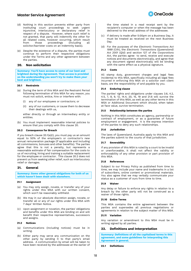- (d) Nothing in this section prevents either party from instituting court proceedings to seek urgent injunctive, interlocutory or declaratory relief in respect of a dispute. However, where such relief is not granted, that party will indemnify the other for all related costs, however occurring, which result<br>from those proceedings (including all from those proceedings (including all solicitor/barrister costs on an indemnity basis).
- (e) Despite the existence of a dispute, the parties must continue to perform their respective obligations under the Terms and any other agreement between the parties.

# <span id="page-17-1"></span>**20. Non solicitation**

**Summary: You'll have access to some of our best and brightest during the Agreement. That access is provided on the understanding you won't try to make them** *your* **best and brightest.**

#### **20.1 Restraints**

- <span id="page-17-2"></span>(a) During the term of this MSA and the Restraint Period following termination of this MSA for any reason, you must not solicit, entice, hire or interfere with:
	- (i) any of our employees or contractors; or
	- (ii) any of our customers, or cause them to decrease their dealings with us,

either directly or through an intermediary entity or entities.

(b) You must implement reasonable internal policies to ensure that you comply with this clause [20.](#page-17-1)

#### <span id="page-17-3"></span>**20.2 Consequence for Breach**

If you breach claus[e 20.1\(a\)\(i\),](#page-17-2) you must pay us an amount equal to 50% of the employee's or contractor's new annual remuneration package (if applicable and including all commissions, bonuses and other benefits). The parties agree that this is not a penalty, but represents a reasonable estimate of fair compensation for the costs to us of recruiting, hiring and training a suitable replacement for the employee or contractor. This clause [20.2](#page-17-3) does not prevent us from seeking other relief, such as interlocutory relief or damages.

#### **21. General**

**Summary: Some other general obligations for both of us which haven't been dealt with elsewhere.**

#### **21.1 Assignment**

- (a) You may only assign, novate, or transfer any of your rights under this MSA with our written consent, which won't be reasonably withheld.
- (b) We may in our absolute discretion assign, novate, or transfer all or any of our rights under this MSA with 7 days' Written Notice.
- (c) Upon assignment or novation, the parties' obligations and benefits under this MSA are binding on and will benefit their respective representatives, successors and assigns.

#### **21.2 Notices**

- (a) Communications (including notices) must be in writing.
- (b) Either party may serve any communication on the other party by sending it to that party's email address. A communication by email will be taken to have been received by the addressee at the earlier of



the time stated in a read receipt sent by the recipient's computer or when the message has been delivered to the email address of the addressee.

- (c) If delivery is made after 5:00pm on a Business Day, it must be treated as received on the next Business Day.
- (d) For the purposes of the *Electronic Transactions Act 1999* (Cth), the *Electronic Transactions (Queensland) Act 2001* (Qld) and section 127 of *the Corporations Act*, the parties agree to send, receive and execute notices and documents electronically, and agree that any document signed electronically will be binding with the same effect as a physical signature.

#### **21.3 Costs**

All stamp duty, government charges and legal fees incidental to this MSA, specifically including all legal fees incurred in enforcing this MSA on a solicitor own client basis, are the responsibility of and payable by you.

#### **21.4 Enduring clause**

The parties' rights and obligations under clauses [3.6,](#page-2-0) [4.2,](#page-4-1) [4.5,](#page-4-2) [7,](#page-8-3) [8,](#page-8-4) [9,](#page-9-2) [12,](#page-12-0) [14.4,](#page-14-10) [20,](#page-17-1) [15,](#page-15-0) [19](#page-16-0) and [21.6](#page-17-0) will survive the termination of this MSA, as well as any other terms in this MSA or Additional Document which should, when taken at face value, survive termination.

#### **21.5 Relationship between the parties**

Nothing in this MSA constitutes an agency, partnership or contract of employment, or as a guarantee of future employment or engagement. It is the express intention of the parties to deny any such relationships.

#### <span id="page-17-0"></span>**21.6 Jurisdiction**

The laws of Queensland, Australia apply to this MSA and the parties submit to the courts of that jurisdiction.

# **21.7 Severability**

If any provision of this MSA is ruled by a court to be invalid or unenforceable, it shall not affect the validity or enforceability of any other provision or part provision of this MSA.

#### **21.8 References**

Subject to our Privacy Policy as published from time to time, we may include your name and trademarks in a list of subscribers, online content or promotional materials. You also agree that we may verbally communicate your status as a customer of ours from time to time.

#### **21.9 Waiver**

Any delay or failure to enforce any rights in relation to a breach by the other party will not be construed as a waiver of those rights.

#### **21.10 Entire Terms**

This MSA contains the entire agreement between the parties and supersedes all previous negotiations or agreements in relation to the subject matter of this MSA.

#### **21.11 Variation**

Any variation or amendment to this MSA must be in writing signed by all parties.

# **22. Definitions and Interpretation**

**Summary: Definitions of all the capitalised terms in this agreement, and some guidelines for interpreting this Agreement in general.**

#### **22.1 Definitions**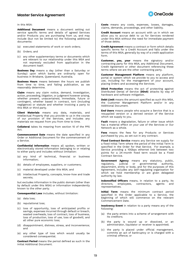

In this MSA:

**Additional Document** means a document setting out service specific terms and details of agreed Services and/or Products you are purchasing from us, and may include (but not be limited to) the following additional documents:

- (a) executed statements of work or work orders;
- (b) Orders; and
- (c) any other supplementary terms or documents which are relevant to our relationship under this MSA and not expressly excluded from application in the document itself.

**Business Day** means a day (other than a Saturday or Sunday) upon which banks are ordinarily open for business in Brisbane, Queensland, Australia.

**Business Hours** means between the hours we publish from time to time, and failing publication, as we reasonably determine.

**Claim** means any claim notice, demand, investigation, action, proceeding, litigation, or judgment however arising, whether present, unascertained, immediate, future or contingent, whether based in contract, tort (including negligence) or statute and whether involving a party to this MSA or third party.

**Client Materials** means any data, materials, and Intellectual Property that you provide to us in the course of our provision of the Services, and includes any materials we request from you from time to time.

**Collateral** takes its meaning from section 10 of the PPS  $\Delta$ ct

**Commencement Date** means the date specified in any Order or Additional Document for the commencement of a Service.

**Confidential Information** means all spoken, written or electronically stored information belonging to or relating to either party and includes without limitation:

- (a) any kind of technical, financial or business information;
- (b) details of employees, suppliers, or customers;
- (c) material developed under this MSA; and
- (d) Intellectual Property, concepts, know-how and trade secrets;

but excludes information in the public domain (other than by default under this MSA) or information independently known to the other party.

**Consequential Loss** includes, without limitation:

- (a) data loss;
- (b) reputational loss;
- (c) loss of opportunity, loss of anticipated profits or savings, expenses incurred through default or breach, wasted overheads, loss of contract, loss of business, loss of production, loss of use, loss of goodwill, and all other pure economic loss;
- (d) disappointment, distress, stress, and inconvenience; and
- (e) any other type of loss which would usually be considered consequential.

**Contract Period** means the period defined as such in the initial Additional Document.

**Costs** means any costs, expenses, losses, damages, claims, demands, proceedings, and other liability.

**Credit Account** means an account with us in which we allow you to accrue debt to us for Services rendered under this MSA without the need for immediate payment of those debts.

**Credit Agreement** means a contract or form which details specific terms for a Credit Account and falls under the terms of this MSA, generally by way of a credit application form.

**Customer, you, your** means the signatory and/or contracting party for this MSA, any Additional Document, Credit Agreement or other document referencing these terms where we are the other contracting party.

**Customer Management Platform** means any platform, portal or system which we provide to you to access and use, including for the management of your account, placing Orders and accessing the Services.

**DDoS Protection** means the act of protecting against Distributed Denial of Service (**DDoS**) attacks by way of hardware and software mitigation.

**Debt Limit** means the amount specified as such this MSA, the Customer Management Platform and/or in any Additional Document.

**End Users** means people who acquire a Service that is a resupplied version or a derived version of the Service which we supply to you.

**Fault** means a degradation, failure or other issue which has a material effect on your use of the Services or Our Network as a whole.

**Fees** means the fees for any Products or Services purchased by you, as set out in any contract.

**Fixed Contract Service** means any Service we supply for a fixed Initial Term where the period of the Initial Term is specified in the Order for that Service. For example, a Service providing a 10Gbps ethernet link between two points for a 24-month fixed term would be a Fixed Contract Service.

**Government Agency** means any statutory, public,<br>regulatory, judicial or governmental authority. or governmental department, entity or body, and for the purposes of this Agreement, includes any self-regulating organisation for which we hold membership or are given delegated authority by law.

**Indemnified Officers** means, in relation to a party, its directors, employees, contractors, agents and representatives.

**Initial Term** means the minimum contract period specified in the Order applicable to a Service, the beginning of which will commence on the relevant Commencement Date.

**Insolvency Event** in relation to a party means any of the following:

- (a) the party enters into a scheme of arrangement with its creditors;
- (b) the party is wound up or dissolved, or an administrator, liquidator or receiver is appointed;
- (c) the party is placed under official management, commits an act of bankruptcy or is charged with a criminal offence; or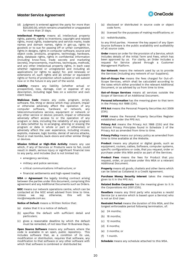

(d) judgment is entered against the party for more than \$20,000.00, which remains unsatisfied or unappealed for more than 21 days.

**Intellectual Property** means all intellectual property rights, patents, rights to inventions, copyright and related rights, moral rights, trademarks and service marks, trade names and domain names, rights in get-up, rights to goodwill or to sue for passing off or unfair competition, rights in designs, rights in computer software, source and object code, products, programs, technology, hardware, data, database rights, rights in confidential information (including know-how, trade secrets and marketing secrets), improvements, machines, techniques, methods, and any other intellectual property rights, in each case whether registered or unregistered and including all applications (or rights to apply) for, and renewals or extensions of, such rights and all similar or equivalent rights or forms of protection which subsist or will subsist now or in the future in any part of the world.

**Liability** means any liability (whether actual or prospective), loss, damage, cost or expense of any description, including legal fees on a solicitor and own client basis.

**Malicious Code** means any code, program, script, software, file, thing or device which may: prevent, impair or otherwise adversely affect the operation of any computer software, hardware or network, any telecommunications service, equipment or network or any other service or device; prevent, impair or otherwise adversely affect access to or the operation of any program or data, including the reliability of any program or data (whether by re-arranging, altering or erasing the program or data in whole or part or otherwise); or adversely affect the user experience, including viruses, exploits, malware, logic bombs, denial of service attacks, flood or mail bombs, back-doors and other similar things or devices.

**Mission Critical or High-Risk Activity** means any use which, if any of Services or Products were to fail, could result in death, serious injury or significant financial loss to any party, and includes (but is not limited to):

- emergency services;
- military and police services;
- critical communications infrastructure; or
- financial settlements and high-speed trading.

**MSA** or **Agreement** the legally binding contract arising between the parties under this document, comprising this agreement and any Additional Documents such as Orders.

**NOC** means our network operations centre, which can be contacted at the NOC email advised from time to time. otherwise, noc@oneqode.com.au.

**Notice of Default** means a Written Notice that:

- (a) states that it is a notice of default;
- (b) specifies the default with sufficient detail and particulars;
- (c) gives a reasonable deadline by which the default must be remedied, of not less than 10 Business Days.

**Open Source Software** means any software where the code is available in an open, public repository. This includes software that, as a condition of its use, modification or distribution, requires that software, any modification to that software or any other software with which that software is combined or distributed be:

- (a) disclosed or distributed in source code or object code form;
- (b) licensed for the purposes of making modifications; or
- (c) redistributable,

to any third parties. However the key aspect of any Open Source Software is the public availability and auditability of all source code.

**Order** means an order for the provision of a Service, which includes details of the Initial Term and Fees, which has been approved by us. For clarity, an Order includes a request for Service placed through a Customer Management Platform.

**Our Network** means the network used by us to provide the Services (including any network of our Suppliers).

**Out-of-Scope Fee** means the fees charged for Out-of-Scope Services, which shall be calculated according to the rates which either provided in the relevant Additional Document, or as advised by us from time to time.

**Out-of-Scope Services** means all services outside the Scope of Services of an Additional Document.

**Personal Information** has the meaning given to that term in the *Privacy Act* 1988 (Cth).

**PPS Act** means the Personal Property Securities Act 2009 (Cth).

**PPSR** means the Personal Property Securities Register established under the PPS Act.

**Privacy Act** means the Privacy Act 1988 (Cth) and the National Privacy Principles found in Schedule 2 of the Privacy Act as amended from time to time.

**Privacy Policy** means our privacy policy as amended from time to time available at the Website.

**Product** means any physical or digital goods, such as equipment, routers, cables, Software, computer systems, specific configurations or code, that you request, order or purchase under this MSA and/or as part of the Services.

**Product Fees** means the fees for Product that you request, order, or purchase under this MSA or a relevant Additional Document.

**Property** means all goods, chattels and other items which can be listed as Collateral in a Credit Agreement.

**Purchase Money Security Interest** takes the meaning given to it in the PPS Act.

**Related Bodies Corporate** has the meaning given to it in the *Corporations Act 2001* (Cth).

**Resellers** means any third party who acquires a resold Service (or a service which is based upon a Service) who is not an End User.

**Restraint Period** means the duration of this MSA, and the longest enforceable period following termination, of:

- (a) 24 months;
- (b) 18 months;
- (c) 12 months;
- (d) 6 months;
- (e) 3 months; or
- (f) 1 month.

**Schedule** means any schedule attached to this MSA.